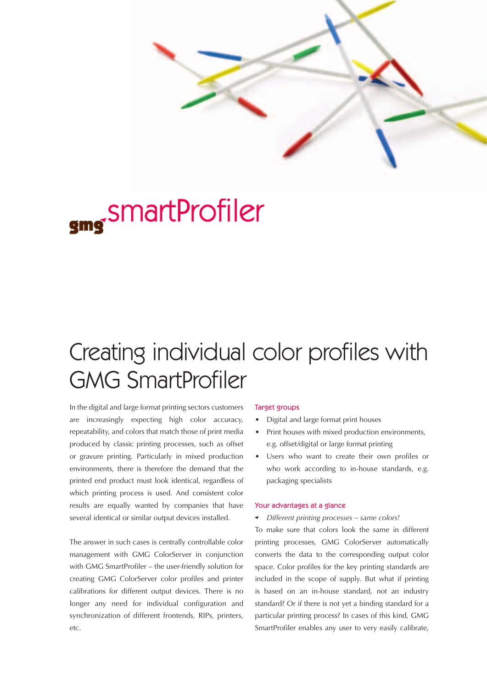

# smartProfiler

## Creating individual color profiles with GMG SmartProfiler

In the digital and large format printing sectors customers are increasingly expecting high color accuracy, repeatability, and colors that match those of print media produced by classic printing processes, such as offset or gravure printing. Particularly in mixed production environments, there is therefore the demand that the printed end product must look identical, regardless of which printing process is used. And consistent color results are equally wanted by companies that have several identical or similar output devices installed.

The answer in such cases is centrally controllable color management with GMG ColorServer in conjunction with GMG SmartProfiler – the user-friendly solution for creating GMG ColorServer color profiles and printer calibrations for different output devices. There is no longer any need for individual configuration and synchronization of different frontends, RIPs, printers, etc.

#### Target groups

- Digital and large format print houses
- Print houses with mixed production environments, e.g. offset/digital or large format printing
- Users who want to create their own profiles or who work according to in-house standards, e.g. packaging specialists

#### Your advantages at a glance

{ *Different printing processes – same colors!*

To make sure that colors look the same in different printing processes, GMG ColorServer automatically converts the data to the corresponding output color space. Color profiles for the key printing standards are included in the scope of supply. But what if printing is based on an in-house standard, not an industry standard? Or if there is not yet a binding standard for a particular printing process? In cases of this kind, GMG SmartProfiler enables any user to very easily calibrate,